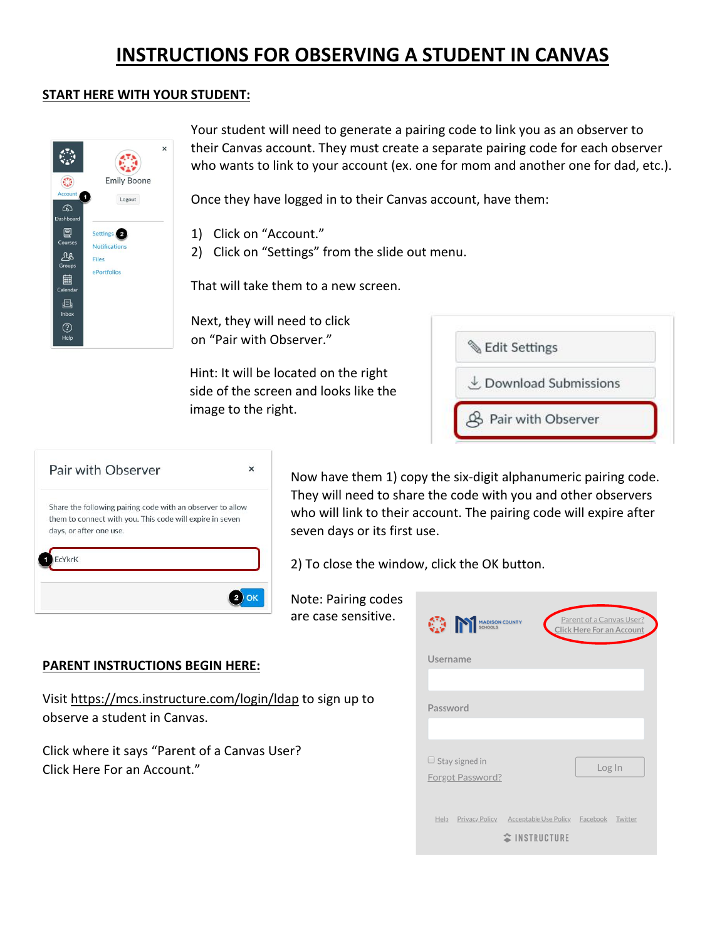# **INSTRUCTIONS FOR OBSERVING A STUDENT IN CANVAS**

#### **START HERE WITH YOUR STUDENT:**

| Account<br>1<br>෬<br>Dashboard                        | ×<br><b>Emily Boone</b><br>Logout                               |
|-------------------------------------------------------|-----------------------------------------------------------------|
| 트<br>Courses<br>ሥ<br>Groups<br><b>ass</b><br>Calendar | Settings<br><b>Notifications</b><br><b>Files</b><br>ePortfolios |
| 歫<br>Inbox<br>Help                                    |                                                                 |

Your student will need to generate a pairing code to link you as an observer to their Canvas account. They must create a separate pairing code for each observer who wants to link to your account (ex. one for mom and another one for dad, etc.).

Once they have logged in to their Canvas account, have them:

- 1) Click on "Account."
- 2) Click on "Settings" from the slide out menu.

That will take them to a new screen.

Next, they will need to click on "Pair with Observer."

Hint: It will be located on the right side of the screen and looks like the image to the right.

| <b>Edit Settings</b> |  |
|----------------------|--|
| Download Submissions |  |
| Pair with Observer   |  |



Now have them 1) copy the six-digit alphanumeric pairing code. They will need to share the code with you and other observers who will link to their account. The pairing code will expire after seven days or its first use.

2) To close the window, click the OK button.

Note: Pairing codes are case sensitive.

### **PARENT INSTRUCTIONS BEGIN HERE:**

Visit https://mcs.instructure.com/login/ldap to sign up to observe a student in Canvas.

Click where it says "Parent of a Canvas User? Click Here For an Account."

| o n<br><b>MADISON COUNTY</b><br>SCHOOLS | Parent of a Canvas User?<br><b>Click Here For an Account</b> |
|-----------------------------------------|--------------------------------------------------------------|
| Username                                |                                                              |
|                                         |                                                              |
| Password                                |                                                              |
|                                         |                                                              |
| $\Box$ Stay signed in                   | Log In                                                       |
| Forgot Password?                        |                                                              |
| Privacy Policy<br>Help                  | Acceptable Use Policy Facebook<br>Twitter                    |
| <b>EINSTRUCTURE</b>                     |                                                              |